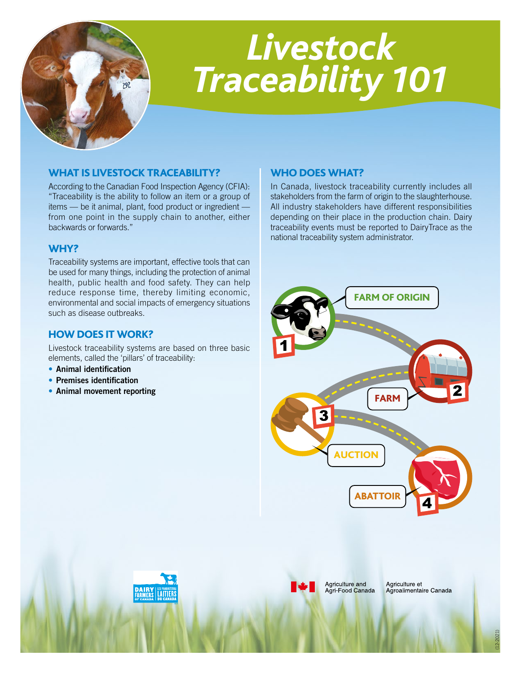

# *Livestock Traceability 101*

## WHAT IS LIVESTOCK TRACEABILITY?

According to the Canadian Food Inspection Agency (CFIA): "Traceability is the ability to follow an item or a group of items — be it animal, plant, food product or ingredient from one point in the supply chain to another, either backwards or forwards."

## WHY?

Traceability systems are important, effective tools that can be used for many things, including the protection of animal health, public health and food safety. They can help reduce response time, thereby limiting economic, environmental and social impacts of emergency situations such as disease outbreaks.

### HOW DOES IT WORK?

Livestock traceability systems are based on three basic elements, called the 'pillars' of traceability:

- Animal identification
- Premises identification
- Animal movement reporting

### WHO DOES WHAT?

In Canada, livestock traceability currently includes all stakeholders from the farm of origin to the slaughterhouse. All industry stakeholders have different responsibilities depending on their place in the production chain. Dairy traceability events must be reported to DairyTrace as the national traceability system administrator.







Agriculture and Agri-Food Canada Agriculture et Agroalimentaire Canada